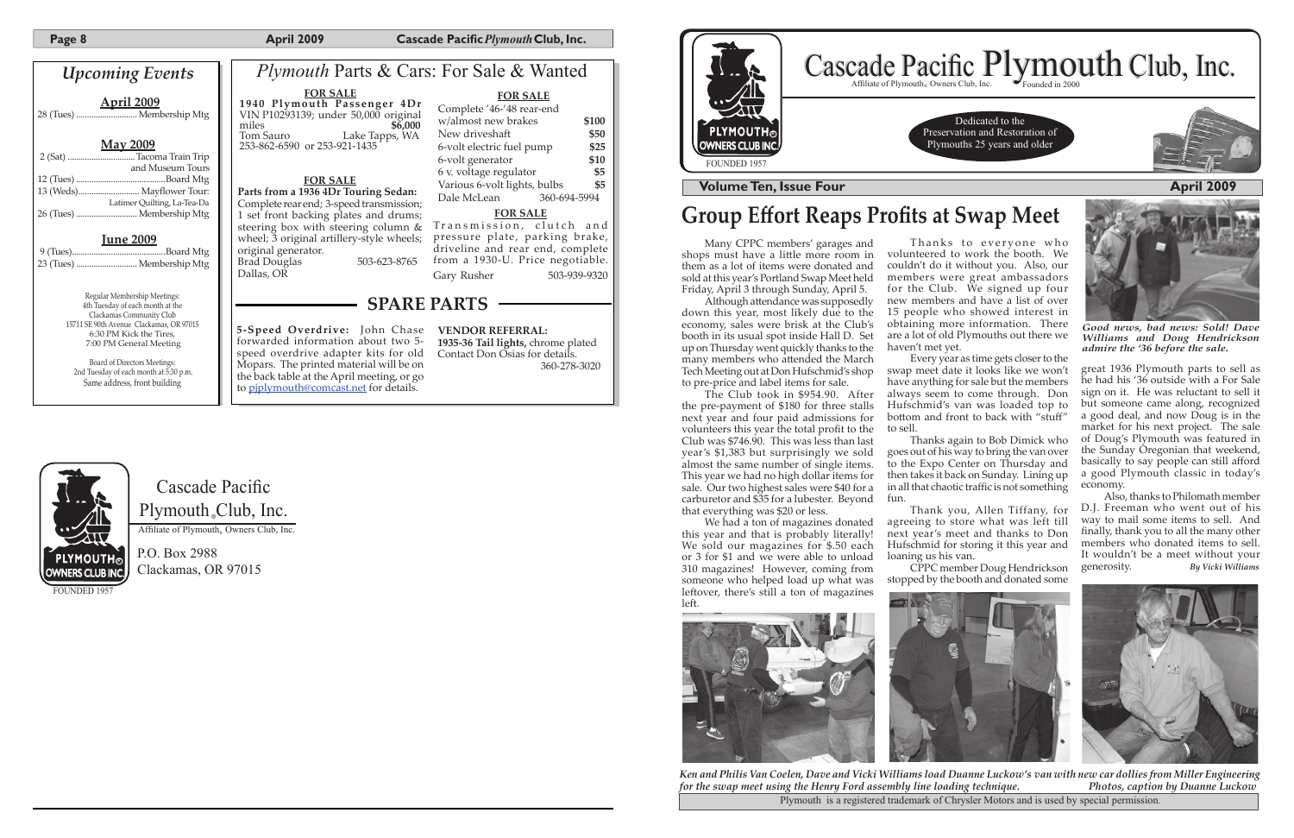**Page 8 April 2009 Cascade Pacific** *Plymouth* **Club, Inc.** 

Cascade Pacific Plymouth<sub>®</sub>Club, Inc.

Affiliate of Plymouth<sub>®</sub> Owners Club, Inc.

P.O. Box 2988 Clackamas, OR 97015

FOUNDED 195



Dedicated to the Preservation and Restoration of Plymouths 25 years and older



| <b>Upcoming Events</b>                                                                                                     |  |                                 |
|----------------------------------------------------------------------------------------------------------------------------|--|---------------------------------|
| <u>April 2009</u>                                                                                                          |  | 19<br>VII<br>mi                 |
| <u>Mav 2009</u>                                                                                                            |  | Toi<br>253                      |
| 2 (Sat) Tacoma Train Trip<br>and Museum Tours                                                                              |  |                                 |
|                                                                                                                            |  |                                 |
| 13 (Weds) Mayflower Tour:                                                                                                  |  | Par                             |
| Latimer Quilting, La-Tea-Da<br>26 (Tues)  Membership Mtg                                                                   |  | Coi<br>1 s                      |
| $\begin{array}{r} \bf \underline{June~2009} \\ 9 \, {\rm (Tues)}. \\ \end{array}$                                          |  | ste<br>wh<br>oriș<br>Bra<br>Dal |
| Regular Membership Meetings:<br>4th Tuesday of each month at the                                                           |  |                                 |
| Clackamas Community Club<br>15711 SE 90th Avenue Clackamas, OR 97015<br>6:30 PM Kick the Tires,<br>7:00 PM General Meeting |  | 5-S<br>for<br>spe               |

Board of Directors Meetings: 2nd Tuesday of each month at 5:30 p.m. Same address, front building

## **Group Effort Reaps Profits at Swap Meet**

Although attendance was supposedly down this year, most likely due to the economy, sales were brisk at the Club's booth in its usual spot inside Hall D. Set up on Thursday went quickly thanks to the many members who attended the March Tech Meeting out at Don Hufschmid's shop to pre-price and label items for sale.

**1935-36 Tail lights,** chrome plated Contact Don Osias for details. 360-278-3020

**VENDOR REFERRAL: 5-Speed Overdrive:** John Chase rwarded information about two 5eed overdrive adapter kits for old Mopars. The printed material will be on the back table at the April meeting, or go to pjplymouth@comcast.net for details.

> We had a ton of magazines donated this year and that is probably literally! We sold our magazines for \$.50 each or 3 for \$1 and we were able to unload 310 magazines! However, coming from someone who helped load up what was leftover, there's still a ton of magazines left.



Thanks to everyone who volunteered to work the booth. We couldn't do it without you. Also, our members were great ambassadors for the Club. We signed up four new members and have a list of over 15 people who showed interest in obtaining more information. There are a lot of old Plymouths out there we

Every year as time gets closer to the swap meet date it looks like we won't have anything for sale but the members always seem to come through. Don Hufschmid's van was loaded top to bottom and front to back with "stuff"



Many CPPC members' garages and shops must have a little more room in them as a lot of items were donated and sold at this year's Portland Swap Meet held Friday, April 3 through Sunday, April 5.

Plymouth is a registered trademark of Chrysler Motors and is used by special permission. *Ken and Philis Van Coelen, Dave and Vicki Williams load Duanne Luckow's van with new car dollies from Miller Engineering for the swap meet using the Henry Ford assembly line loading technique. Photos, caption by Duanne Luckow*

| <i>Plymouth Parts &amp; Cars: For Sale &amp; Wanted</i>                                                                                                                                                                                                                                                      |                                                                                                                                                                                                                                                                                             |  |
|--------------------------------------------------------------------------------------------------------------------------------------------------------------------------------------------------------------------------------------------------------------------------------------------------------------|---------------------------------------------------------------------------------------------------------------------------------------------------------------------------------------------------------------------------------------------------------------------------------------------|--|
| <b>FOR SALE</b><br>1940 Plymouth Passenger 4Dr<br>VIN P10293139; under 50,000 original<br>miles<br>\$6,000<br>Tom Sauro Lake Tapps, WA<br>253-862-6590 or 253-921-1435                                                                                                                                       | <b>FOR SALE</b><br>Complete '46-'48 rear-end<br>w/almost new brakes<br>\$100<br>New driveshaft<br>\$50<br>\$25<br>6-volt electric fuel pump<br>\$10<br>6-volt generator                                                                                                                     |  |
| <b>FOR SALE</b><br>Parts from a 1936 4Dr Touring Sedan:<br>Complete rear end; 3-speed transmission;<br>1 set front backing plates and drums;<br>steering box with steering column &<br>wheel; 3 original artillery-style wheels;<br>original generator.<br>503-623-8765<br><b>Brad Douglas</b><br>Dallas, OR | \$5<br>6 v. voltage regulator<br>Various 6-volt lights, bulbs<br>\$5<br>Dale McLean<br>360-694-5994<br><b>FOR SALE</b><br>Transmission, clutch and<br>pressure plate, parking brake,<br>driveline and rear end, complete<br>from a 1930-U. Price negotiable.<br>Gary Rusher<br>503-939-9320 |  |
| <b>SPARE PARTS</b>                                                                                                                                                                                                                                                                                           |                                                                                                                                                                                                                                                                                             |  |

The Club took in \$954.90. After the pre-payment of \$180 for three stalls next year and four paid admissions for volunteers this year the total profit to the Club was \$746.90. This was less than last year's \$1,383 but surprisingly we sold almost the same number of single items. This year we had no high dollar items for sale. Our two highest sales were \$40 for a carburetor and \$35 for a lubester. Beyond fun. that everything was \$20 or less.

haven't met yet.

to sell.

Thanks again to Bob Dimick who goes out of his way to bring the van over to the Expo Center on Thursday and then takes it back on Sunday. Lining up in all that chaotic traffic is not something

Thank you, Allen Tiffany, for agreeing to store what was left till next year's meet and thanks to Don Hufschmid for storing it this year and loaning us his van.

# Cascade Pacific Plymouth Club, Inc.

CPPC member Doug Hendrickson stopped by the booth and donated some



great 1936 Plymouth parts to sell as he had his '36 outside with a For Sale sign on it. He was reluctant to sell it but someone came along, recognized a good deal, and now Doug is in the market for his next project. The sale of Doug's Plymouth was featured in the Sunday Oregonian that weekend, basically to say people can still afford a good Plymouth classic in today's economy.

Also, thanks to Philomath member D.J. Freeman who went out of his way to mail some items to sell. And finally, thank you to all the many other members who donated items to sell. It wouldn't be a meet without your<br>generosity.  $B_y$  Vicki Williams generosity. *By Vicki Williams*





*Good news, bad news: Sold! Dave Williams and Doug Hendrickson admire the '36 before the sale.*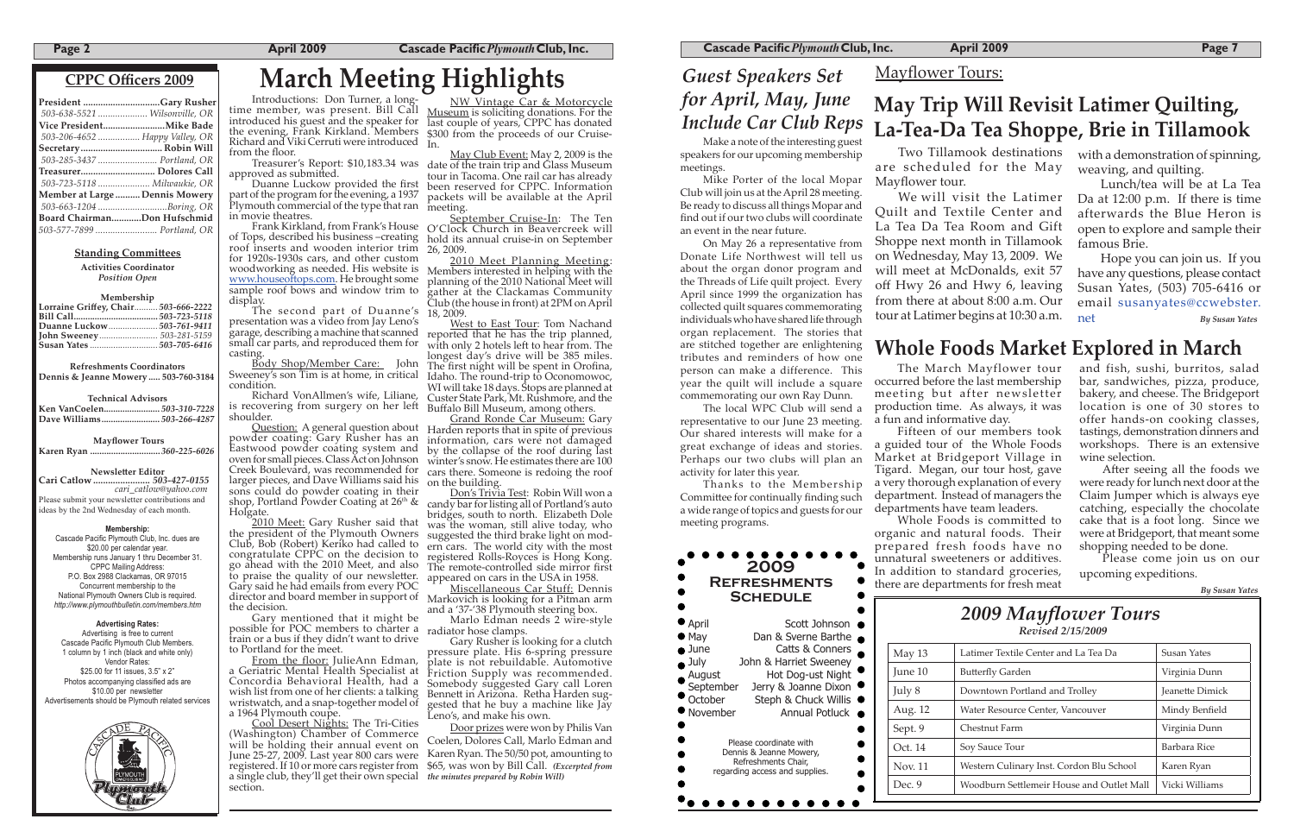### **Page 2 April 2009 Cascade Pacific** *Plymouth* **Club, Inc.**

### *(* **CPPC Officers 2009**

| President Gary Rusher          |  |
|--------------------------------|--|
| 503-638-5521  Wilsonville, OR  |  |
|                                |  |
| 503-206-4652  Happy Valley, OR |  |
| Secretary Robin Will           |  |
| 503-285-3437  Portland, OR     |  |
|                                |  |
| Treasurer Dolores Call         |  |
| 503-723-5118  Milwaukie, OR    |  |
| Member at Large  Dennis Mowery |  |
| 503-663-1204 Boring, OR        |  |
| Board ChairmanDon Hufschmid    |  |

### **Standing Committees**

**Activities Coordinator** *Position Open*

### **Membership**

| Lorraine Griffey, Chair 503-666-2222 |  |
|--------------------------------------|--|
|                                      |  |
|                                      |  |
|                                      |  |
|                                      |  |

### **2009 Refreshments Schedule** April Scott Johnson ● May Dan & Sverne Barthe ● June Catts & Conners

**Refreshments Coordinators Dennis & Jeanne Mowery ..... 503-760-3184**

**Technical Advisors**

| Ken VanCoelen503-310-7228 |  |
|---------------------------|--|
|                           |  |

• July John & Harriet Sweeney<br>
• August Hot Dog-ust Night<br>
• September Jerry & Joanne Dixon Hot Dog-ust Night September Jerry & Joanne Dixon<br>
October Steph & Chuck Willis Steph & Chuck Willis  $\bullet$ ● November Annual Potluck Please coordinate with Dennis & Jeanne Mowery, Refreshments Chair, regarding access and supplies.

**. . . . . . . . . .** 

 **Mayflower Tours**

**Karen Ryan ..............................** *360-225-6026*

**Newsle�er Editor** 

**Cari Catlow .......................** *503-427-0155 cari\_catlow@yahoo.com*  Please submit your newsletter contributions and ideas by the 2nd Wednesday of each month.

### **Membership:**

Cascade Pacific Plymouth Club, Inc. dues are \$20.00 per calendar year. Membership runs January 1 thru December 31. CPPC Mailing Address: P.O. Box 2988 Clackamas, OR 97015 Concurrent membership to the National Plymouth Owners Club is required. *http://www.plymouthbulletin.com/members.htm*

Plymouth commercial of the type that ran meeting. in movie theatres.

of Tops, described his business –creating hold its annual cruise-in on September roof inserts and wooden interior trim 26, 2009. for 1920s-1930s cars, and other custom for 1920s-1930s cars, and other custom and <u>2010 Meet Planning Meeting</u>:<br>woodworking as needed. His website is a Members interested in helping with the www.houseoftops.com. He brought some sample roof bows and window trim to display.

### **Advertising Rates:**

The second part of Duanne's presentation was a video from Jay Leno's garage, describing a machine that scanned small car parts, and reproduced them for casting.

Advertising is free to current Cascade Pacific Plymouth Club Members. 1 column by 1 inch (black and white only) Vendor Rates: \$25.00 for 11 issues, 3.5" x 2" Photos accompanying classified ads are \$10.00 per newsletter Advertisements should be Plymouth related services



# *2009 Mayflower Tours*

### **March Meeting Highlights** *Guest Speakers Set for April, May, June Include Car Club Reps*

| May 13  | Latimer Textile Center and La Tea Da      | Susan Yates            |
|---------|-------------------------------------------|------------------------|
| June 10 | <b>Butterfly Garden</b>                   | Virginia Dunn          |
| July 8  | Downtown Portland and Trolley             | <b>Jeanette Dimick</b> |
| Aug. 12 | Water Resource Center, Vancouver          | Mindy Benfield         |
| Sept. 9 | Chestnut Farm                             | Virginia Dunn          |
| Oct. 14 | Soy Sauce Tour                            | Barbara Rice           |
| Nov. 11 | Western Culinary Inst. Cordon Blu School  | Karen Ryan             |
| Dec. 9  | Woodburn Settlemeir House and Outlet Mall | Vicki Williams         |

Cool Desert Nights: The Tri-Cities (Washington) Chamber of Commerce will be holding their annual event on June 25-27, 2009. Last year 800 cars were registered. If 10 or more cars register from \$65, was won by Bill Call. *(Excerpted from*  a single club, they'll get their own special *the minutes prepared by Robin Will)* section.

time member, was present. Bill Call Museum is soliciting donations. For the introduced his guest and the speaker for last couple of years, CPPC has donated the evening, Frank Kirkland. Members \\$300 from the proceeds of our Cruise-<br>Richard and Viki Cerruti were introduced <sub>In.</sub> NW Vintage Car & Motorcycle<br>Museum is soliciting donations. For the In.

Treasurer's Report: \$10,183.34 was date of the train trip and Glass Museum<br>approved as submitted. Unanne Luckow provided the first been reserved for CPPC. Information<br>part of the program for the evening, a 1937 packets wil the floor.<br>Treasurer's Report: \$10,183.34 was date of the train trip and Glass Museum tour in Tacoma. One rail car has already packets will be available at the April

Frank Kirkland, from Frank's House O'Clock Church in Beavercreek will September Cruise-In: The Ten

Introductions: Don Turner, a long- time member, was present. Bill Call the evening, Frank Kirkland. Members from the floor.

covering from surgery on her left Buffalo Bill Museum, among others.<br>Ider. Grand Ronde Car Museum: Gary Cuestion: A general question about Harden reports that in spite of previous winter's snow. He estimates there are 100 cars there. Someone is redoing the roof on the building.

director and board member in support of Markovich is looking for a Pitman arm Miscellaneous Car Stuff: Dennis and a '37-'38 Plymouth steering box.

Sweeney's son Tim is at home, in critical condition.

Richard VonAllmen's wife, Liliane, is recovering from surgery on her left shoulder.

powder coating: Gary Rusher has an information, cars were not damaged Eastwood powder coating system and by the collapse of the roof during last oven for small pieces. Class Act on Johnson Creek Boulevard, was recommended for larger pieces, and Dave Williams said his sons could do powder coating in their shop, Portland Powder Coating at  $26<sup>th</sup>$  & Holgate.

2010 Meet: Gary Rusher said that the president of the Plymouth Owners suggested the third brake light on mod-Club, Bob (Robert) Keriko had called to ern cars. The world city with the most congratulate CPPC on the decision to registered Rolls-Royces is Hong Kong. go ahead with the 2010 Meet, and also The remote-controlled side mirror first to praise the quality of our newsle�er. Gary said he had emails from every POC the decision.

Gary mentioned that it might be possible for POC members to charter a train or a bus if they didn't want to drive to Portland for the meet.

After seeing all the foods we were ready for lunch next door at the Claim Jumper which is always eye catching, especially the chocolate cake that is a foot long. Since we were at Bridgeport, that meant some shopping needed to be done.

From the floor: JulieAnn Edman, a Geriatric Mental Health Specialist at Concordia Behavioral Health, had a wish list from one of her clients: a talking wristwatch, and a snap-together model of a 1964 Plymouth coupe.

Body Shop/Member Care: John The first night will be spent in Orofina, West to East Tour: Tom Nachand reported that he has the trip planned, with only 2 hotels left to hear from. The longest day's drive will be 385 miles. Idaho. The round-trip to Oconomowoc, WI will take 18 days. Stops are planned at Custer State Park, Mt. Rushmore, and the

Members interested in helping with the planning of the 2010 National Meet will gather at the Clackamas Community Club (the house in front) at 2PM on April 18, 2009.

Don's Trivia Test: Robin Will won a candy bar for listing all of Portland's auto bridges, south to north. Elizabeth Dole was the woman, still alive today, who appeared on cars in the USA in 1958.

Marlo Edman needs 2 wire-style radiator hose clamps.

Gary Rusher is looking for a clutch pressure plate. His 6-spring pressure plate is not rebuildable. Automotive Friction Supply was recommended. Somebody suggested Gary call Loren Bennett in Arizona. Retha Harden suggested that he buy a machine like Jay Leno's, and make his own.

Door prizes were won by Philis Van Coelen, Dolores Call, Marlo Edman and Karen Ryan. The 50/50 pot, amounting to

### **Cascade Pacific** *Plymouth* Club, Inc. **April 2009 Page 7 Page 7 Page 7**

Make a note of the interesting guest speakers for our upcoming membership meetings.

Mike Porter of the local Mopar Club will join us at the April 28 meeting. Be ready to discuss all things Mopar and find out if our two clubs will coordinate an event in the near future.

On May 26 a representative from Donate Life Northwest will tell us about the organ donor program and the Threads of Life quilt project. Every April since 1999 the organization has collected quilt squares commemorating individuals who have shared life through organ replacement. The stories that are stitched together are enlightening tributes and reminders of how one person can make a difference. This year the quilt will include a square commemorating our own Ray Dunn.

The local WPC Club will send a representative to our June 23 meeting. Our shared interests will make for a great exchange of ideas and stories. Perhaps our two clubs will plan an activity for later this year.

Thanks to the Membership Committee for continually finding such a wide range of topics and guests for our meeting programs.

The March Mayflower tour occurred before the last membership meeting but after newsletter production time. As always, it was

a fun and informative day.

Fifteen of our members took a guided tour of the Whole Foods Market at Bridgeport Village in Tigard. Megan, our tour host, gave a very thorough explanation of every department. Instead of managers the departments have team leaders.

Whole Foods is committed to organic and natural foods. Their prepared fresh foods have no unnatural sweeteners or additives. In addition to standard groceries, there are departments for fresh meat

and fish, sushi, burritos, salad bar, sandwiches, pizza, produce, bakery, and cheese. The Bridgeport location is one of 30 stores to offer hands-on cooking classes, tastings, demonstration dinners and workshops. There is an extensive wine selection.

Please come join us on our upcoming expeditions.

*By Susan Yates*

Two Tillamook destinations are scheduled for the May

Mayflower tour.

We will visit the Latimer Quilt and Textile Center and La Tea Da Tea Room and Gift Shoppe next month in Tillamook on Wednesday, May 13, 2009. We will meet at McDonalds, exit 57 off Hwy 26 and Hwy 6, leaving from there at about 8:00 a.m. Our tour at Latimer begins at 10:30 a.m.

with a demonstration of spinning, weaving, and quilting.

Lunch/tea will be at La Tea Da at 12:00 p.m. If there is time afterwards the Blue Heron is open to explore and sample their famous Brie.

Hope you can join us. If you have any questions, please contact Susan Yates, (503) 705-6416 or email susanyates@ccwebster. net *By Susan Yates*

## Mayflower Tours: **May Trip Will Revisit Latimer Quilting, La-Tea-Da Tea Shoppe, Brie in Tillamook**

### **Whole Foods Market Explored in March**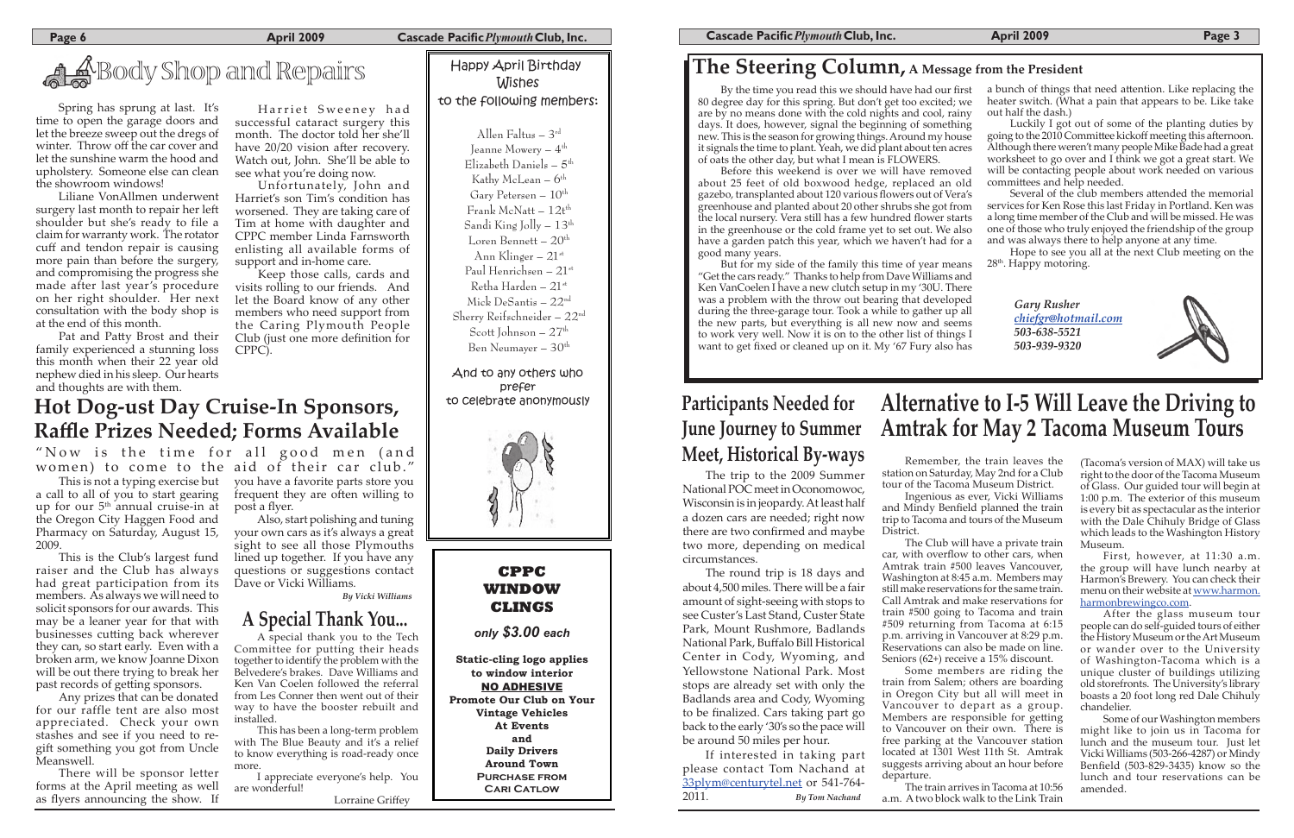**Page 6 Cascade Pacific** *Plymouth* Club, Inc.

### **The Steering Column, A Message from the President**

Allen Faltus – 3rd Jeanne Mowery –  $4^{\text{th}}$ Elizabeth Daniels –  $5^{\text{th}}$ Kathy McLean –  $6^{\text{th}}$ Gary Petersen –  $10^{th}$ Frank McNatt –  $12t^{th}$ Sandi King Jolly – 13th Loren Bennett –  $20^{\text{th}}$ Ann Klinger –  $21$ <sup>st</sup> Paul Henrichsen –  $21^{st}$ Retha Harden –  $21$ <sup>st</sup> Mick DeSantis – 22nd Sherry Reifschneider – 22nd Scott Johnson –  $27<sup>th</sup>$ Ben Neumayer –  $30<sup>th</sup>$ 

*Gary Rusher chiefgr@hotmail.com 503-638-5521 503-939-9320*



## Wishes to the following members:

And to any others who prefer to celebrate anonymously



about 25 feet of old boxwood hedge, replaced an old gazebo, transplanted about 120 various flowers out of Vera's greenhouse and planted about 20 other shrubs she got from the local nursery. Vera still has a few hundred flower starts in the greenhouse or the cold frame yet to set out. We also have a garden patch this year, which we haven't had for a

By the time you read this we should have had our first 80 degree day for this spring. But don't get too excited; we are by no means done with the cold nights and cool, rainy days. It does, however, signal the beginning of something new. This is the season for growing things. Around my house it signals the time to plant. Yeah, we did plant about ten acres Before this weekend is over we will have removed

a bunch of things that need attention. Like replacing the heater switch. (What a pain that appears to be. Like take out half the dash.)

Luckily I got out of some of the planting duties by going to the 2010 Committee kickoff meeting this afternoon. Although there weren't many people Mike Bade had a great worksheet to go over and I think we got a great start. We will be contacting people about work needed on various committees and help needed.

of oats the other day, but what I mean is FLOWERS.

# A Shop and Repairs Happy April Birthday

Several of the club members attended the memorial services for Ken Rose this last Friday in Portland. Ken was a long time member of the Club and will be missed. He was one of those who truly enjoyed the friendship of the group and was always there to help anyone at any time.

Hope to see you all at the next Club meeting on the 28<sup>th</sup>. Happy motoring.

good many years.

But for my side of the family this time of year means "Get the cars ready." Thanks to help from Dave Williams and Ken VanCoelen I have a new clutch setup in my '30U. There

Pat and Patty Brost and their family experienced a stunning loss this month when their 22 year old nephew died in his sleep. Our hearts and thoughts are with them.

### was a problem with the throw out bearing that developed during the three-garage tour. Took a while to gather up all the new parts, but everything is all new now and seems to work very well. Now it is on to the other list of things I want to get fixed or cleaned up on it. My '67 Fury also has

Harriet Sweeney had successful cataract surgery this month. The doctor told her she'll have 20/20 vision after recovery. Watch out, John. She'll be able to see what you're doing now.

This is the Club's largest fund raiser and the Club has always had great participation from its members. As always we will need to solicit sponsors for our awards. This may be a leaner year for that with businesses cutting back wherever they can, so start early. Even with a broken arm, we know Joanne Dixon will be out there trying to break her past records of getting sponsors.

Spring has sprung at last. It's time to open the garage doors and let the breeze sweep out the dregs of winter. Throw off the car cover and let the sunshine warm the hood and upholstery. Someone else can clean the showroom windows!

Liliane VonAllmen underwent surgery last month to repair her left shoulder but she's ready to file a claim for warranty work. The rotator cuff and tendon repair is causing more pain than before the surgery, and compromising the progress she made after last year's procedure on her right shoulder. Her next consultation with the body shop is at the end of this month.

Unfortunately, John and Harriet's son Tim's condition has worsened. They are taking care of Tim at home with daughter and CPPC member Linda Farnsworth enlisting all available forms of support and in-home care.

Keep those calls, cards and visits rolling to our friends. And let the Board know of any other members who need support from the Caring Plymouth People Club (just one more definition for CPPC).

> The trip to the 2009 Summer National POC meet in Oconomowoc, Wisconsin is in jeopardy. At least half a dozen cars are needed; right now there are two confirmed and maybe two more, depending on medical circumstances.

**Static-cling logo applies to window interior** NO ADHESIVE **Promote Our Club on Your Vintage Vehicles At Events and Daily Drivers Around Town Purchase from CARI CATLOW** 

The round trip is 18 days and about 4,500 miles. There will be a fair amount of sight-seeing with stops to see Custer's Last Stand, Custer State Park, Mount Rushmore, Badlands National Park, Buffalo Bill Historical Center in Cody, Wyoming, and Yellowstone National Park. Most stops are already set with only the Badlands area and Cody, Wyoming to be finalized. Cars taking part go back to the early '30's so the pace will be around 50 miles per hour.

If interested in taking part please contact Tom Nachand at 33plym@centurytel.net or 541-764- 2011. *By Tom Nachand*

## **Participants Needed for June Journey to Summer Meet, Historical By-ways**

This is not a typing exercise but a call to all of you to start gearing up for our  $5<sup>th</sup>$  annual cruise-in at the Oregon City Haggen Food and Pharmacy on Saturday, August 15, 2009.

Any prizes that can be donated for our raffle tent are also most appreciated. Check your own stashes and see if you need to regift something you got from Uncle Meanswell.

There will be sponsor letter forms at the April meeting as well as flyers announcing the show. If

## **Hot Dog-ust Day Cruise-In Sponsors, Raffle Prizes Needed; Forms Available**

"Now is the time for all good men (and women) to come to the aid of their car club."

Remember, the train leaves the station on Saturday, May 2nd for a Club tour of the Tacoma Museum District. Ingenious as ever, Vicki Williams and Mindy Benfield planned the train trip to Tacoma and tours of the Museum

District.

The Club will have a private train car, with overflow to other cars, when Amtrak train #500 leaves Vancouver, Washington at 8:45 a.m. Members may still make reservations for the same train. Call Amtrak and make reservations for train #500 going to Tacoma and train #509 returning from Tacoma at 6:15 p.m. arriving in Vancouver at 8:29 p.m. Reservations can also be made on line. Seniors (62+) receive a 15% discount.

Some members are riding the train from Salem; others are boarding in Oregon City but all will meet in Vancouver to depart as a group. Members are responsible for getting to Vancouver on their own. There is free parking at the Vancouver station located at 1301 West 11th St. Amtrak suggests arriving about an hour before

departure.

The train arrives in Tacoma at 10:56 a.m. A two block walk to the Link Train

(Tacoma's version of MAX) will take us right to the door of the Tacoma Museum of Glass. Our guided tour will begin at 1:00 p.m. The exterior of this museum is every bit as spectacular as the interior with the Dale Chihuly Bridge of Glass which leads to the Washington History Museum.

First, however, at 11:30 a.m. the group will have lunch nearby at Harmon's Brewery. You can check their menu on their website at www.harmon. harmonbrewingco.com.

After the glass museum tour people can do self-guided tours of either the History Museum or the Art Museum or wander over to the University of Washington-Tacoma which is a unique cluster of buildings utilizing old storefronts. The University's library boasts a 20 foot long red Dale Chihuly chandelier.

Some of our Washington members might like to join us in Tacoma for lunch and the museum tour. Just let Vicki Williams (503-266-4287) or Mindy Benfield (503-829-3435) know so the lunch and tour reservations can be amended.

## **Alternative to I-5 Will Leave the Driving to Amtrak for May 2 Tacoma Museum Tours**

you have a favorite parts store you frequent they are often willing to post a flyer.

Also, start polishing and tuning your own cars as it's always a great sight to see all those Plymouths lined up together. If you have any questions or suggestions contact Dave or Vicki Williams.

*By Vicki Williams*

### **CPPC WINDOW CLINGS**

*only \$3.00 each*

A special thank you to the Tech Committee for putting their heads together to identify the problem with the Belvedere's brakes. Dave Williams and Ken Van Coelen followed the referral from Les Conner then went out of their way to have the booster rebuilt and installed.

This has been a long-term problem with The Blue Beauty and it's a relief to know everything is road-ready once more.

I appreciate everyone's help. You are wonderful!

Lorraine Griffey

### **A Special Thank You...**